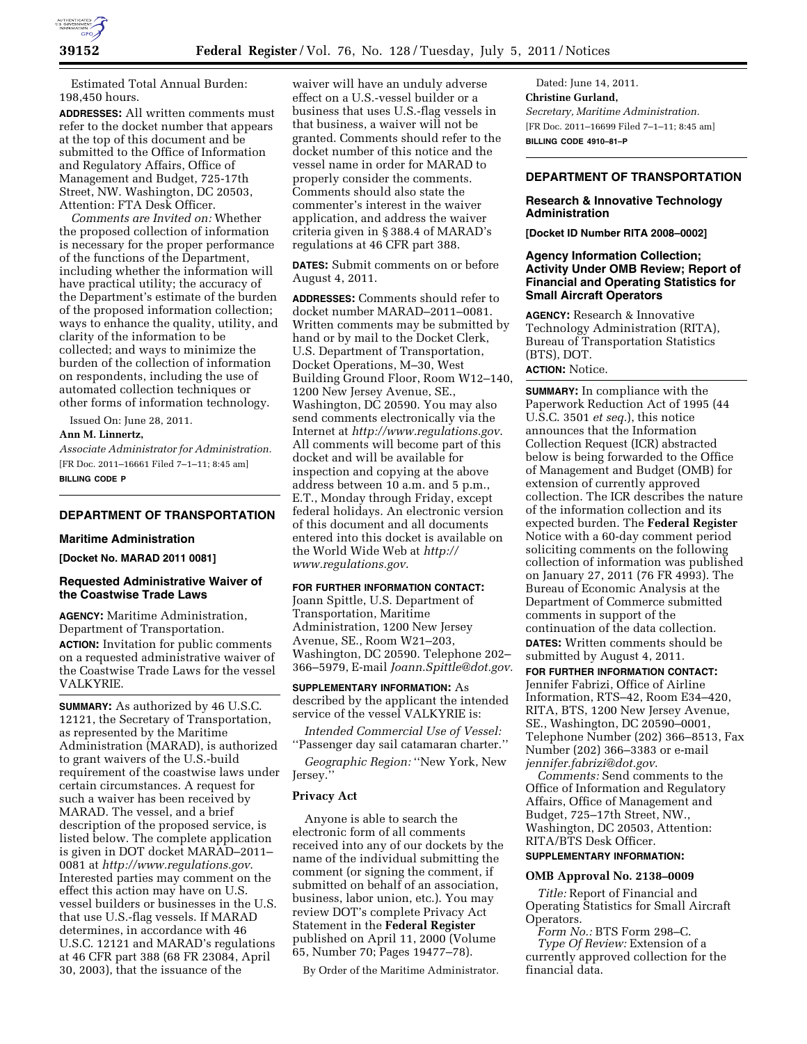

Estimated Total Annual Burden: 198,450 hours.

**ADDRESSES:** All written comments must refer to the docket number that appears at the top of this document and be submitted to the Office of Information and Regulatory Affairs, Office of Management and Budget, 725-17th Street, NW. Washington, DC 20503, Attention: FTA Desk Officer.

*Comments are Invited on:* Whether the proposed collection of information is necessary for the proper performance of the functions of the Department, including whether the information will have practical utility; the accuracy of the Department's estimate of the burden of the proposed information collection; ways to enhance the quality, utility, and clarity of the information to be collected; and ways to minimize the burden of the collection of information on respondents, including the use of automated collection techniques or other forms of information technology.

Issued On: June 28, 2011.

## **Ann M. Linnertz,**

*Associate Administrator for Administration.*  [FR Doc. 2011–16661 Filed 7–1–11; 8:45 am] **BILLING CODE P** 

## **DEPARTMENT OF TRANSPORTATION**

#### **Maritime Administration**

**[Docket No. MARAD 2011 0081]** 

## **Requested Administrative Waiver of the Coastwise Trade Laws**

**AGENCY:** Maritime Administration, Department of Transportation. **ACTION:** Invitation for public comments on a requested administrative waiver of the Coastwise Trade Laws for the vessel VALKYRIE.

**SUMMARY:** As authorized by 46 U.S.C. 12121, the Secretary of Transportation, as represented by the Maritime Administration (MARAD), is authorized to grant waivers of the U.S.-build requirement of the coastwise laws under certain circumstances. A request for such a waiver has been received by MARAD. The vessel, and a brief description of the proposed service, is listed below. The complete application is given in DOT docket MARAD–2011– 0081 at *<http://www.regulations.gov>*. Interested parties may comment on the effect this action may have on U.S. vessel builders or businesses in the U.S. that use U.S.-flag vessels. If MARAD determines, in accordance with 46 U.S.C. 12121 and MARAD's regulations at 46 CFR part 388 (68 FR 23084, April 30, 2003), that the issuance of the

waiver will have an unduly adverse effect on a U.S.-vessel builder or a business that uses U.S.-flag vessels in that business, a waiver will not be granted. Comments should refer to the docket number of this notice and the vessel name in order for MARAD to properly consider the comments. Comments should also state the commenter's interest in the waiver application, and address the waiver criteria given in § 388.4 of MARAD's regulations at 46 CFR part 388.

**DATES:** Submit comments on or before August 4, 2011.

**ADDRESSES:** Comments should refer to docket number MARAD–2011–0081. Written comments may be submitted by hand or by mail to the Docket Clerk, U.S. Department of Transportation, Docket Operations, M–30, West Building Ground Floor, Room W12–140, 1200 New Jersey Avenue, SE., Washington, DC 20590. You may also send comments electronically via the Internet at *<http://www.regulations.gov>*. All comments will become part of this docket and will be available for inspection and copying at the above address between 10 a.m. and 5 p.m., E.T., Monday through Friday, except federal holidays. An electronic version of this document and all documents entered into this docket is available on the World Wide Web at *[http://](http://www.regulations.gov)  [www.regulations.gov](http://www.regulations.gov)*.

#### **FOR FURTHER INFORMATION CONTACT:**

Joann Spittle, U.S. Department of Transportation, Maritime Administration, 1200 New Jersey Avenue, SE., Room W21–203, Washington, DC 20590. Telephone 202– 366–5979, E-mail *[Joann.Spittle@dot.gov.](mailto:Joann.Spittle@dot.gov)* 

**SUPPLEMENTARY INFORMATION:** As described by the applicant the intended service of the vessel VALKYRIE is:

*Intended Commercial Use of Vessel:*  ''Passenger day sail catamaran charter.''

*Geographic Region:* ''New York, New Jersey.''

### **Privacy Act**

Anyone is able to search the electronic form of all comments received into any of our dockets by the name of the individual submitting the comment (or signing the comment, if submitted on behalf of an association, business, labor union, etc.). You may review DOT's complete Privacy Act Statement in the **Federal Register**  published on April 11, 2000 (Volume 65, Number 70; Pages 19477–78).

By Order of the Maritime Administrator.

Dated: June 14, 2011. **Christine Gurland,**  *Secretary, Maritime Administration.*  [FR Doc. 2011–16699 Filed 7–1–11; 8:45 am] **BILLING CODE 4910–81–P** 

## **DEPARTMENT OF TRANSPORTATION**

### **Research & Innovative Technology Administration**

**[Docket ID Number RITA 2008–0002]** 

## **Agency Information Collection; Activity Under OMB Review; Report of Financial and Operating Statistics for Small Aircraft Operators**

**AGENCY:** Research & Innovative Technology Administration (RITA), Bureau of Transportation Statistics (BTS), DOT. **ACTION:** Notice.

**SUMMARY:** In compliance with the Paperwork Reduction Act of 1995 (44 U.S.C. 3501 *et seq.*), this notice announces that the Information Collection Request (ICR) abstracted below is being forwarded to the Office of Management and Budget (OMB) for extension of currently approved collection. The ICR describes the nature of the information collection and its expected burden. The **Federal Register**  Notice with a 60-day comment period soliciting comments on the following collection of information was published on January 27, 2011 (76 FR 4993). The Bureau of Economic Analysis at the Department of Commerce submitted comments in support of the continuation of the data collection. **DATES:** Written comments should be submitted by August 4, 2011.

**FOR FURTHER INFORMATION CONTACT:**  Jennifer Fabrizi, Office of Airline Information, RTS–42, Room E34–420, RITA, BTS, 1200 New Jersey Avenue, SE., Washington, DC 20590–0001, Telephone Number (202) 366–8513, Fax Number (202) 366–3383 or e-mail *[jennifer.fabrizi@dot.gov](mailto:jennifer.fabrizi@dot.gov)*.

*Comments:* Send comments to the Office of Information and Regulatory Affairs, Office of Management and Budget, 725–17th Street, NW., Washington, DC 20503, Attention: RITA/BTS Desk Officer.

# **SUPPLEMENTARY INFORMATION:**

## **OMB Approval No. 2138–0009**

*Title:* Report of Financial and Operating Statistics for Small Aircraft Operators.

*Form No.:* BTS Form 298–C. *Type Of Review:* Extension of a currently approved collection for the financial data.